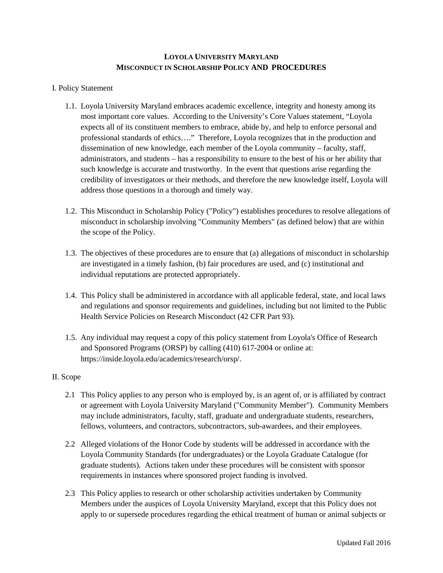# **LOYOLA UNIVERSITY MARYLAND MISCONDUCT IN SCHOLARSHIP POLICY AND PROCEDURES**

## I. Policy Statement

- 1.1. Loyola University Maryland embraces academic excellence, integrity and honesty among its most important core values. According to the University's Core Values statement, "Loyola expects all of its constituent members to embrace, abide by, and help to enforce personal and professional standards of ethics…." Therefore, Loyola recognizes that in the production and dissemination of new knowledge, each member of the Loyola community – faculty, staff, administrators, and students – has a responsibility to ensure to the best of his or her ability that such knowledge is accurate and trustworthy. In the event that questions arise regarding the credibility of investigators or their methods, and therefore the new knowledge itself, Loyola will address those questions in a thorough and timely way.
- 1.2. This Misconduct in Scholarship Policy ("Policy") establishes procedures to resolve allegations of misconduct in scholarship involving "Community Members" (as defined below) that are within the scope of the Policy.
- 1.3. The objectives of these procedures are to ensure that (a) allegations of misconduct in scholarship are investigated in a timely fashion, (b) fair procedures are used, and (c) institutional and individual reputations are protected appropriately.
- 1.4. This Policy shall be administered in accordance with all applicable federal, state, and local laws and regulations and sponsor requirements and guidelines, including but not limited to the Public Health Service Policies on Research Misconduct (42 CFR Part 93).
- 1.5. Any individual may request a copy of this policy statement from Loyola's Office of Research and Sponsored Programs (ORSP) by calling (410) 617-2004 or online at: <https://inside.loyola.edu/academics/research/orsp/>.

### II. Scope

- 2.1 This Policy applies to any person who is employed by, is an agent of, or is affiliated by contract or agreement with Loyola University Maryland ("Community Member"). Community Members may include administrators, faculty, staff, graduate and undergraduate students, researchers, fellows, volunteers, and contractors, subcontractors, sub-awardees, and their employees.
- 2.2 Alleged violations of the Honor Code by students will be addressed in accordance with the Loyola Community Standards (for undergraduates) or the Loyola Graduate Catalogue (for graduate students). Actions taken under these procedures will be consistent with sponsor requirements in instances where sponsored project funding is involved.
- 2.3 This Policy applies to research or other scholarship activities undertaken by Community Members under the auspices of Loyola University Maryland, except that this Policy does not apply to or supersede procedures regarding the ethical treatment of human or animal subjects or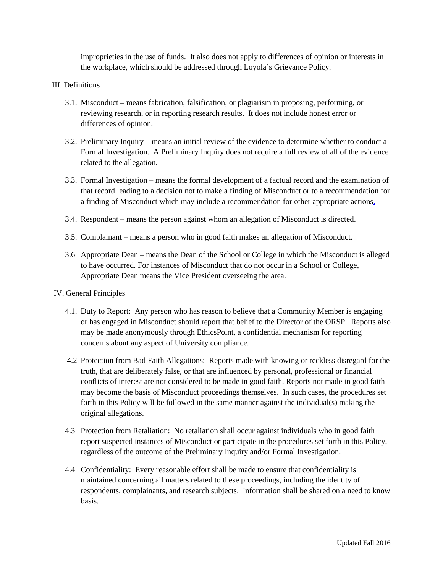improprieties in the use of funds. It also does not apply to differences of opinion or interests in the workplace, which should be addressed through Loyola's Grievance Policy.

## III. Definitions

- 3.1. Misconduct means fabrication, falsification, or plagiarism in proposing, performing, or reviewing research, or in reporting research results. It does not include honest error or differences of opinion.
- 3.2. Preliminary Inquiry means an initial review of the evidence to determine whether to conduct a Formal Investigation. A Preliminary Inquiry does not require a full review of all of the evidence related to the allegation.
- 3.3. Formal Investigation means the formal development of a factual record and the examination of that record leading to a decision not to make a finding of Misconduct or to a recommendation for a finding of Misconduct which may include a recommendation for other appropriate actions.
- 3.4. Respondent means the person against whom an allegation of Misconduct is directed.
- 3.5. Complainant means a person who in good faith makes an allegation of Misconduct.
- 3.6 Appropriate Dean means the Dean of the School or College in which the Misconduct is alleged to have occurred. For instances of Misconduct that do not occur in a School or College, Appropriate Dean means the Vice President overseeing the area.

## IV. General Principles

- 4.1. Duty to Report: Any person who has reason to believe that a Community Member is engaging or has engaged in Misconduct should report that belief to the Director of the ORSP. Reports also may be made anonymously through EthicsPoint, a confidential mechanism for reporting concerns about any aspect of University compliance.
- 4.2 Protection from Bad Faith Allegations: Reports made with knowing or reckless disregard for the truth, that are deliberately false, or that are influenced by personal, professional or financial conflicts of interest are not considered to be made in good faith. Reports not made in good faith may become the basis of Misconduct proceedings themselves. In such cases, the procedures set forth in this Policy will be followed in the same manner against the individual(s) making the original allegations.
- 4.3 Protection from Retaliation: No retaliation shall occur against individuals who in good faith report suspected instances of Misconduct or participate in the procedures set forth in this Policy, regardless of the outcome of the Preliminary Inquiry and/or Formal Investigation.
- 4.4 Confidentiality: Every reasonable effort shall be made to ensure that confidentiality is maintained concerning all matters related to these proceedings, including the identity of respondents, complainants, and research subjects. Information shall be shared on a need to know basis.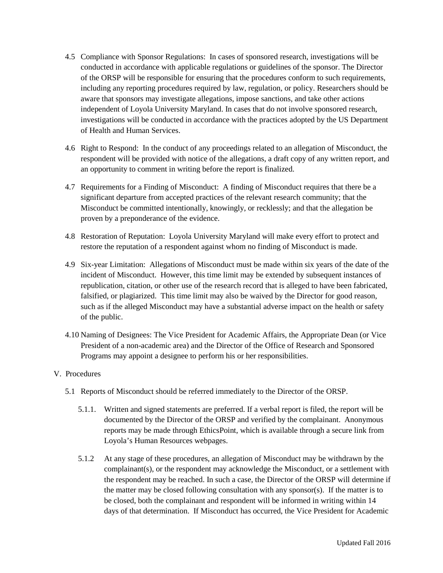- 4.5 Compliance with Sponsor Regulations: In cases of sponsored research, investigations will be conducted in accordance with applicable regulations or guidelines of the sponsor. The Director of the ORSP will be responsible for ensuring that the procedures conform to such requirements, including any reporting procedures required by law, regulation, or policy. Researchers should be aware that sponsors may investigate allegations, impose sanctions, and take other actions independent of Loyola University Maryland. In cases that do not involve sponsored research, investigations will be conducted in accordance with the practices adopted by the US Department of Health and Human Services.
- 4.6 Right to Respond: In the conduct of any proceedings related to an allegation of Misconduct, the respondent will be provided with notice of the allegations, a draft copy of any written report, and an opportunity to comment in writing before the report is finalized.
- 4.7 Requirements for a Finding of Misconduct: A finding of Misconduct requires that there be a significant departure from accepted practices of the relevant research community; that the Misconduct be committed intentionally, knowingly, or recklessly; and that the allegation be proven by a preponderance of the evidence.
- 4.8 Restoration of Reputation: Loyola University Maryland will make every effort to protect and restore the reputation of a respondent against whom no finding of Misconduct is made.
- 4.9 Six-year Limitation: Allegations of Misconduct must be made within six years of the date of the incident of Misconduct. However, this time limit may be extended by subsequent instances of republication, citation, or other use of the research record that is alleged to have been fabricated, falsified, or plagiarized. This time limit may also be waived by the Director for good reason, such as if the alleged Misconduct may have a substantial adverse impact on the health or safety of the public.
- 4.10 Naming of Designees: The Vice President for Academic Affairs, the Appropriate Dean (or Vice President of a non-academic area) and the Director of the Office of Research and Sponsored Programs may appoint a designee to perform his or her responsibilities.

## V. Procedures

- 5.1 Reports of Misconduct should be referred immediately to the Director of the ORSP.
	- 5.1.1. Written and signed statements are preferred. If a verbal report is filed, the report will be documented by the Director of the ORSP and verified by the complainant. Anonymous reports may be made through EthicsPoint, which is available through a secure link from Loyola's Human Resources webpages.
	- 5.1.2 At any stage of these procedures, an allegation of Misconduct may be withdrawn by the complainant(s), or the respondent may acknowledge the Misconduct, or a settlement with the respondent may be reached. In such a case, the Director of the ORSP will determine if the matter may be closed following consultation with any sponsor(s). If the matter is to be closed, both the complainant and respondent will be informed in writing within 14 days of that determination. If Misconduct has occurred, the Vice President for Academic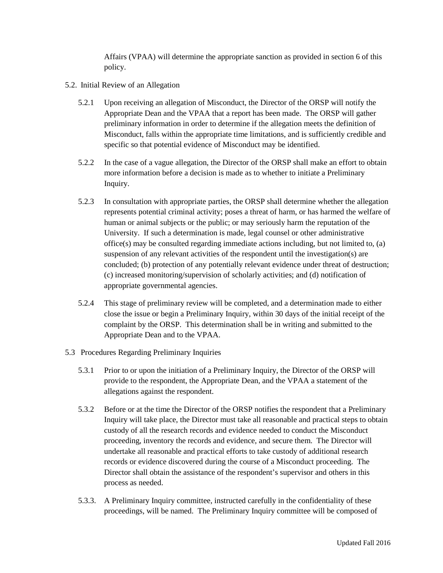Affairs (VPAA) will determine the appropriate sanction as provided in section 6 of this policy.

- 5.2. Initial Review of an Allegation
	- 5.2.1 Upon receiving an allegation of Misconduct, the Director of the ORSP will notify the Appropriate Dean and the VPAA that a report has been made. The ORSP will gather preliminary information in order to determine if the allegation meets the definition of Misconduct, falls within the appropriate time limitations, and is sufficiently credible and specific so that potential evidence of Misconduct may be identified.
	- 5.2.2 In the case of a vague allegation, the Director of the ORSP shall make an effort to obtain more information before a decision is made as to whether to initiate a Preliminary Inquiry.
	- 5.2.3 In consultation with appropriate parties, the ORSP shall determine whether the allegation represents potential criminal activity; poses a threat of harm, or has harmed the welfare of human or animal subjects or the public; or may seriously harm the reputation of the University. If such a determination is made, legal counsel or other administrative office(s) may be consulted regarding immediate actions including, but not limited to, (a) suspension of any relevant activities of the respondent until the investigation(s) are concluded; (b) protection of any potentially relevant evidence under threat of destruction; (c) increased monitoring/supervision of scholarly activities; and (d) notification of appropriate governmental agencies.
	- 5.2.4 This stage of preliminary review will be completed, and a determination made to either close the issue or begin a Preliminary Inquiry, within 30 days of the initial receipt of the complaint by the ORSP. This determination shall be in writing and submitted to the Appropriate Dean and to the VPAA.
- 5.3 Procedures Regarding Preliminary Inquiries
	- 5.3.1 Prior to or upon the initiation of a Preliminary Inquiry, the Director of the ORSP will provide to the respondent, the Appropriate Dean, and the VPAA a statement of the allegations against the respondent.
	- 5.3.2 Before or at the time the Director of the ORSP notifies the respondent that a Preliminary Inquiry will take place, the Director must take all reasonable and practical steps to obtain custody of all the research records and evidence needed to conduct the Misconduct proceeding, inventory the records and evidence, and secure them. The Director will undertake all reasonable and practical efforts to take custody of additional research records or evidence discovered during the course of a Misconduct proceeding. The Director shall obtain the assistance of the respondent's supervisor and others in this process as needed.
	- 5.3.3. A Preliminary Inquiry committee, instructed carefully in the confidentiality of these proceedings, will be named. The Preliminary Inquiry committee will be composed of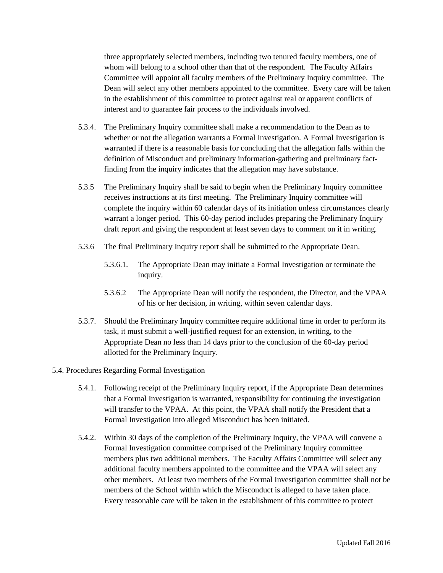three appropriately selected members, including two tenured faculty members, one of whom will belong to a school other than that of the respondent. The Faculty Affairs Committee will appoint all faculty members of the Preliminary Inquiry committee. The Dean will select any other members appointed to the committee. Every care will be taken in the establishment of this committee to protect against real or apparent conflicts of interest and to guarantee fair process to the individuals involved.

- 5.3.4. The Preliminary Inquiry committee shall make a recommendation to the Dean as to whether or not the allegation warrants a Formal Investigation. A Formal Investigation is warranted if there is a reasonable basis for concluding that the allegation falls within the definition of Misconduct and preliminary information-gathering and preliminary factfinding from the inquiry indicates that the allegation may have substance.
- 5.3.5 The Preliminary Inquiry shall be said to begin when the Preliminary Inquiry committee receives instructions at its first meeting. The Preliminary Inquiry committee will complete the inquiry within 60 calendar days of its initiation unless circumstances clearly warrant a longer period. This 60-day period includes preparing the Preliminary Inquiry draft report and giving the respondent at least seven days to comment on it in writing.
- 5.3.6 The final Preliminary Inquiry report shall be submitted to the Appropriate Dean.
	- 5.3.6.1. The Appropriate Dean may initiate a Formal Investigation or terminate the inquiry.
	- 5.3.6.2 The Appropriate Dean will notify the respondent, the Director, and the VPAA of his or her decision, in writing, within seven calendar days.
- 5.3.7. Should the Preliminary Inquiry committee require additional time in order to perform its task, it must submit a well-justified request for an extension, in writing, to the Appropriate Dean no less than 14 days prior to the conclusion of the 60-day period allotted for the Preliminary Inquiry.

## 5.4. Procedures Regarding Formal Investigation

- 5.4.1. Following receipt of the Preliminary Inquiry report, if the Appropriate Dean determines that a Formal Investigation is warranted, responsibility for continuing the investigation will transfer to the VPAA. At this point, the VPAA shall notify the President that a Formal Investigation into alleged Misconduct has been initiated.
- 5.4.2. Within 30 days of the completion of the Preliminary Inquiry, the VPAA will convene a Formal Investigation committee comprised of the Preliminary Inquiry committee members plus two additional members. The Faculty Affairs Committee will select any additional faculty members appointed to the committee and the VPAA will select any other members. At least two members of the Formal Investigation committee shall not be members of the School within which the Misconduct is alleged to have taken place. Every reasonable care will be taken in the establishment of this committee to protect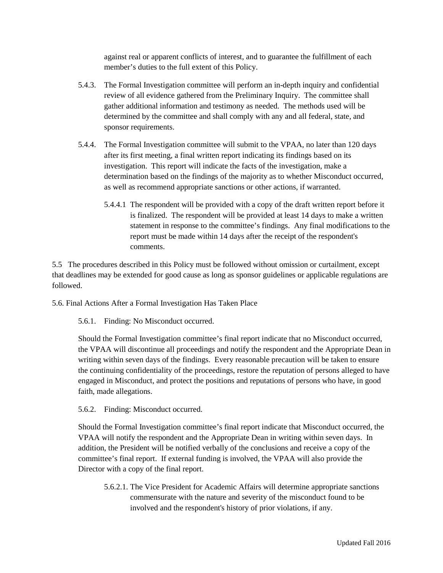against real or apparent conflicts of interest, and to guarantee the fulfillment of each member's duties to the full extent of this Policy.

- 5.4.3. The Formal Investigation committee will perform an in-depth inquiry and confidential review of all evidence gathered from the Preliminary Inquiry. The committee shall gather additional information and testimony as needed. The methods used will be determined by the committee and shall comply with any and all federal, state, and sponsor requirements.
- 5.4.4. The Formal Investigation committee will submit to the VPAA, no later than 120 days after its first meeting, a final written report indicating its findings based on its investigation. This report will indicate the facts of the investigation, make a determination based on the findings of the majority as to whether Misconduct occurred, as well as recommend appropriate sanctions or other actions, if warranted.
	- 5.4.4.1 The respondent will be provided with a copy of the draft written report before it is finalized. The respondent will be provided at least 14 days to make a written statement in response to the committee's findings. Any final modifications to the report must be made within 14 days after the receipt of the respondent's comments.

5.5 The procedures described in this Policy must be followed without omission or curtailment, except that deadlines may be extended for good cause as long as sponsor guidelines or applicable regulations are followed.

5.6. Final Actions After a Formal Investigation Has Taken Place

5.6.1. Finding: No Misconduct occurred.

Should the Formal Investigation committee's final report indicate that no Misconduct occurred, the VPAA will discontinue all proceedings and notify the respondent and the Appropriate Dean in writing within seven days of the findings. Every reasonable precaution will be taken to ensure the continuing confidentiality of the proceedings, restore the reputation of persons alleged to have engaged in Misconduct, and protect the positions and reputations of persons who have, in good faith, made allegations.

5.6.2. Finding: Misconduct occurred.

Should the Formal Investigation committee's final report indicate that Misconduct occurred, the VPAA will notify the respondent and the Appropriate Dean in writing within seven days. In addition, the President will be notified verbally of the conclusions and receive a copy of the committee's final report. If external funding is involved, the VPAA will also provide the Director with a copy of the final report.

5.6.2.1. The Vice President for Academic Affairs will determine appropriate sanctions commensurate with the nature and severity of the misconduct found to be involved and the respondent's history of prior violations, if any.